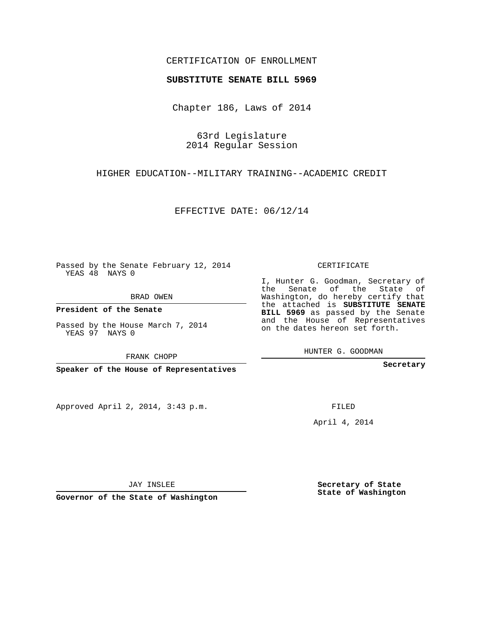## CERTIFICATION OF ENROLLMENT

## **SUBSTITUTE SENATE BILL 5969**

Chapter 186, Laws of 2014

63rd Legislature 2014 Regular Session

HIGHER EDUCATION--MILITARY TRAINING--ACADEMIC CREDIT

EFFECTIVE DATE: 06/12/14

Passed by the Senate February 12, 2014 YEAS 48 NAYS 0

BRAD OWEN

**President of the Senate**

Passed by the House March 7, 2014 YEAS 97 NAYS 0

Approved April 2, 2014, 3:43 p.m.

CERTIFICATE

I, Hunter G. Goodman, Secretary of the Senate of the State of Washington, do hereby certify that the attached is **SUBSTITUTE SENATE BILL 5969** as passed by the Senate and the House of Representatives on the dates hereon set forth.

HUNTER G. GOODMAN

**Secretary**

FILED

April 4, 2014

**Secretary of State State of Washington**

JAY INSLEE

**Governor of the State of Washington**

FRANK CHOPP

**Speaker of the House of Representatives**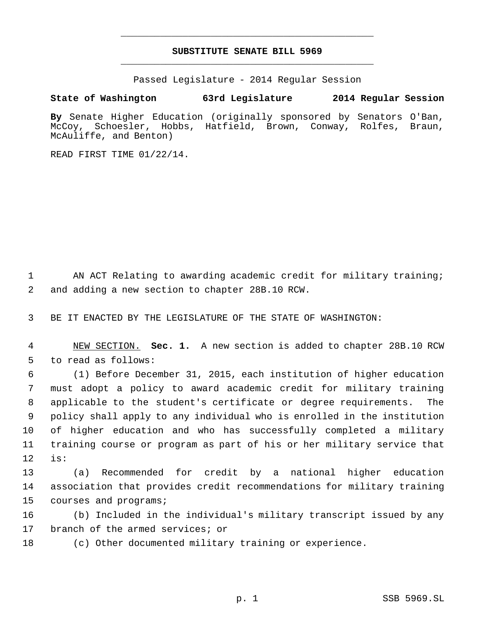## **SUBSTITUTE SENATE BILL 5969** \_\_\_\_\_\_\_\_\_\_\_\_\_\_\_\_\_\_\_\_\_\_\_\_\_\_\_\_\_\_\_\_\_\_\_\_\_\_\_\_\_\_\_\_\_

\_\_\_\_\_\_\_\_\_\_\_\_\_\_\_\_\_\_\_\_\_\_\_\_\_\_\_\_\_\_\_\_\_\_\_\_\_\_\_\_\_\_\_\_\_

Passed Legislature - 2014 Regular Session

## **State of Washington 63rd Legislature 2014 Regular Session**

**By** Senate Higher Education (originally sponsored by Senators O'Ban, McCoy, Schoesler, Hobbs, Hatfield, Brown, Conway, Rolfes, Braun, McAuliffe, and Benton)

READ FIRST TIME 01/22/14.

1 AN ACT Relating to awarding academic credit for military training; 2 and adding a new section to chapter 28B.10 RCW.

3 BE IT ENACTED BY THE LEGISLATURE OF THE STATE OF WASHINGTON:

 4 NEW SECTION. **Sec. 1.** A new section is added to chapter 28B.10 RCW 5 to read as follows:

 (1) Before December 31, 2015, each institution of higher education must adopt a policy to award academic credit for military training applicable to the student's certificate or degree requirements. The policy shall apply to any individual who is enrolled in the institution of higher education and who has successfully completed a military training course or program as part of his or her military service that 12 is:

13 (a) Recommended for credit by a national higher education 14 association that provides credit recommendations for military training 15 courses and programs;

16 (b) Included in the individual's military transcript issued by any 17 branch of the armed services; or

18 (c) Other documented military training or experience.